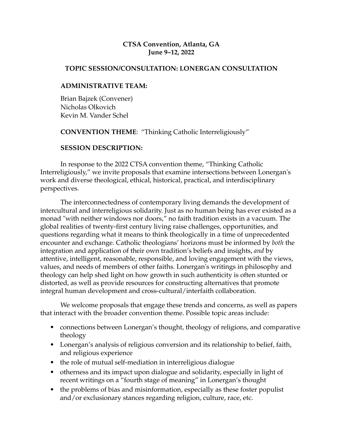### **CTSA Convention, Atlanta, GA June 9–12, 2022**

#### **TOPIC SESSION/CONSULTATION: LONERGAN CONSULTATION**

### **ADMINISTRATIVE TEAM:**

Brian Bajzek (Convener) Nicholas Olkovich Kevin M. Vander Schel

**CONVENTION THEME**: "Thinking Catholic Interreligiously"

## **SESSION DESCRIPTION:**

In response to the 2022 CTSA convention theme, "Thinking Catholic Interreligiously," we invite proposals that examine intersections between Lonergan's work and diverse theological, ethical, historical, practical, and interdisciplinary perspectives.

The interconnectedness of contemporary living demands the development of intercultural and interreligious solidarity. Just as no human being has ever existed as a monad "with neither windows nor doors," no faith tradition exists in a vacuum. The global realities of twenty-first century living raise challenges, opportunities, and questions regarding what it means to think theologically in a time of unprecedented encounter and exchange. Catholic theologians' horizons must be informed by *both* the integration and application of their own tradition's beliefs and insights, *and* by attentive, intelligent, reasonable, responsible, and loving engagement with the views, values, and needs of members of other faiths. Lonergan's writings in philosophy and theology can help shed light on how growth in such authenticity is often stunted or distorted, as well as provide resources for constructing alternatives that promote integral human development and cross-cultural/interfaith collaboration.

We welcome proposals that engage these trends and concerns, as well as papers that interact with the broader convention theme. Possible topic areas include:

- connections between Lonergan's thought, theology of religions, and comparative theology
- Lonergan's analysis of religious conversion and its relationship to belief, faith, and religious experience
- the role of mutual self-mediation in interreligious dialogue
- otherness and its impact upon dialogue and solidarity, especially in light of recent writings on a "fourth stage of meaning" in Lonergan's thought
- the problems of bias and misinformation, especially as these foster populist and/or exclusionary stances regarding religion, culture, race, etc.